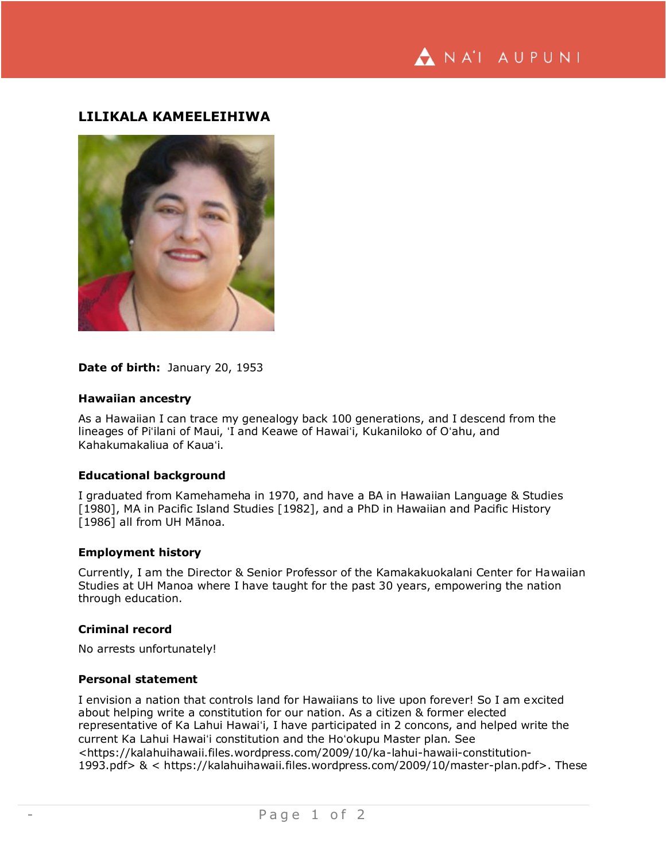# **LILIKALA KAMEELEIHIWA**



# **Date of birth:** January 20, 1953

#### **Hawaiian ancestry**

As a Hawaiian I can trace my genealogy back 100 generations, and I descend from the lineages of Piʻilani of Maui, ʻI and Keawe of Hawaiʻi, Kukaniloko of Oʻahu, and Kahakumakaliua of Kauaʻi.

### **Educational background**

I graduated from Kamehameha in 1970, and have a BA in Hawaiian Language & Studies [1980], MA in Pacific Island Studies [1982], and a PhD in Hawaiian and Pacific History [1986] all from UH Mānoa.

#### **Employment history**

Currently, I am the Director & Senior Professor of the Kamakakuokalani Center for Hawaiian Studies at UH Manoa where I have taught for the past 30 years, empowering the nation through education.

#### **Criminal record**

No arrests unfortunately!

#### **Personal statement**

I envision a nation that controls land for Hawaiians to live upon forever! So I am excited about helping write a constitution for our nation. As a citizen & former elected representative of Ka Lahui Hawaiʻi, I have participated in 2 concons, and helped write the current Ka Lahui Hawaiʻi constitution and the Hoʻokupu Master plan. See <https://kalahuihawaii.files.wordpress.com/2009/10/ka-lahui-hawaii-constitution-1993.pdf> & < https://kalahuihawaii.files.wordpress.com/2009/10/master-plan.pdf>. These